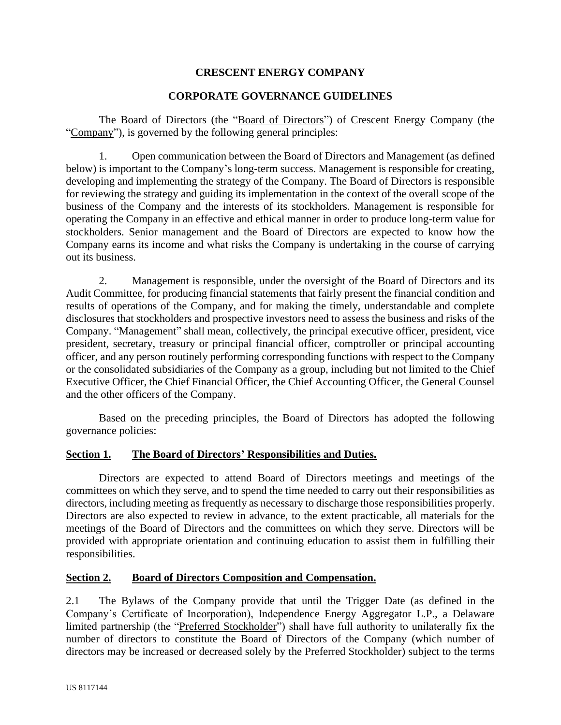### **CRESCENT ENERGY COMPANY**

#### **CORPORATE GOVERNANCE GUIDELINES**

The Board of Directors (the "Board of Directors") of Crescent Energy Company (the "Company"), is governed by the following general principles:

1. Open communication between the Board of Directors and Management (as defined below) is important to the Company's long-term success. Management is responsible for creating, developing and implementing the strategy of the Company. The Board of Directors is responsible for reviewing the strategy and guiding its implementation in the context of the overall scope of the business of the Company and the interests of its stockholders. Management is responsible for operating the Company in an effective and ethical manner in order to produce long-term value for stockholders. Senior management and the Board of Directors are expected to know how the Company earns its income and what risks the Company is undertaking in the course of carrying out its business.

2. Management is responsible, under the oversight of the Board of Directors and its Audit Committee, for producing financial statements that fairly present the financial condition and results of operations of the Company, and for making the timely, understandable and complete disclosures that stockholders and prospective investors need to assess the business and risks of the Company. "Management" shall mean, collectively, the principal executive officer, president, vice president, secretary, treasury or principal financial officer, comptroller or principal accounting officer, and any person routinely performing corresponding functions with respect to the Company or the consolidated subsidiaries of the Company as a group, including but not limited to the Chief Executive Officer, the Chief Financial Officer, the Chief Accounting Officer, the General Counsel and the other officers of the Company.

Based on the preceding principles, the Board of Directors has adopted the following governance policies:

#### **Section 1. The Board of Directors' Responsibilities and Duties.**

Directors are expected to attend Board of Directors meetings and meetings of the committees on which they serve, and to spend the time needed to carry out their responsibilities as directors, including meeting as frequently as necessary to discharge those responsibilities properly. Directors are also expected to review in advance, to the extent practicable, all materials for the meetings of the Board of Directors and the committees on which they serve. Directors will be provided with appropriate orientation and continuing education to assist them in fulfilling their responsibilities.

#### **Section 2. Board of Directors Composition and Compensation.**

2.1 The Bylaws of the Company provide that until the Trigger Date (as defined in the Company's Certificate of Incorporation), Independence Energy Aggregator L.P., a Delaware limited partnership (the "Preferred Stockholder") shall have full authority to unilaterally fix the number of directors to constitute the Board of Directors of the Company (which number of directors may be increased or decreased solely by the Preferred Stockholder) subject to the terms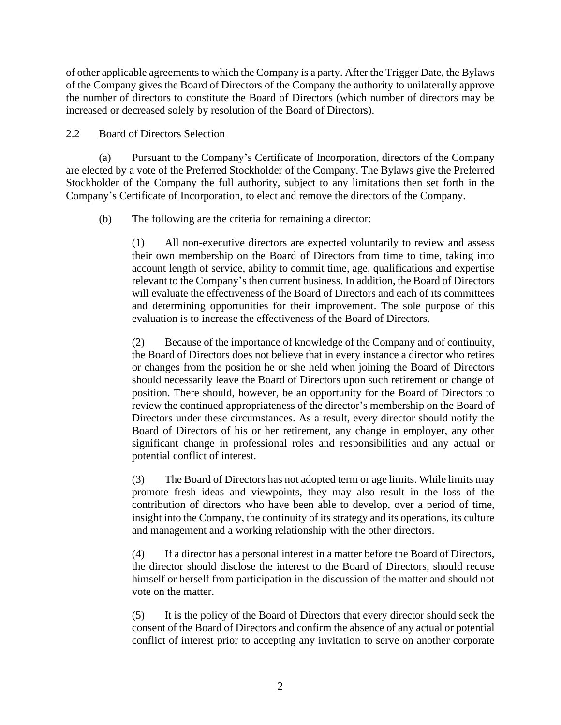of other applicable agreements to which the Company is a party. After the Trigger Date, the Bylaws of the Company gives the Board of Directors of the Company the authority to unilaterally approve the number of directors to constitute the Board of Directors (which number of directors may be increased or decreased solely by resolution of the Board of Directors).

### 2.2 Board of Directors Selection

(a) Pursuant to the Company's Certificate of Incorporation, directors of the Company are elected by a vote of the Preferred Stockholder of the Company. The Bylaws give the Preferred Stockholder of the Company the full authority, subject to any limitations then set forth in the Company's Certificate of Incorporation, to elect and remove the directors of the Company.

(b) The following are the criteria for remaining a director:

(1) All non-executive directors are expected voluntarily to review and assess their own membership on the Board of Directors from time to time, taking into account length of service, ability to commit time, age, qualifications and expertise relevant to the Company's then current business. In addition, the Board of Directors will evaluate the effectiveness of the Board of Directors and each of its committees and determining opportunities for their improvement. The sole purpose of this evaluation is to increase the effectiveness of the Board of Directors.

(2) Because of the importance of knowledge of the Company and of continuity, the Board of Directors does not believe that in every instance a director who retires or changes from the position he or she held when joining the Board of Directors should necessarily leave the Board of Directors upon such retirement or change of position. There should, however, be an opportunity for the Board of Directors to review the continued appropriateness of the director's membership on the Board of Directors under these circumstances. As a result, every director should notify the Board of Directors of his or her retirement, any change in employer, any other significant change in professional roles and responsibilities and any actual or potential conflict of interest.

(3) The Board of Directors has not adopted term or age limits. While limits may promote fresh ideas and viewpoints, they may also result in the loss of the contribution of directors who have been able to develop, over a period of time, insight into the Company, the continuity of its strategy and its operations, its culture and management and a working relationship with the other directors.

(4) If a director has a personal interest in a matter before the Board of Directors, the director should disclose the interest to the Board of Directors, should recuse himself or herself from participation in the discussion of the matter and should not vote on the matter.

(5) It is the policy of the Board of Directors that every director should seek the consent of the Board of Directors and confirm the absence of any actual or potential conflict of interest prior to accepting any invitation to serve on another corporate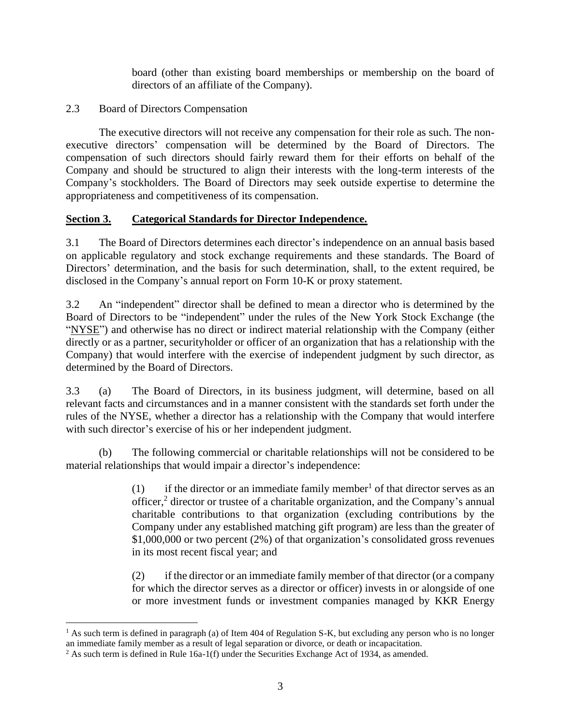board (other than existing board memberships or membership on the board of directors of an affiliate of the Company).

## 2.3 Board of Directors Compensation

The executive directors will not receive any compensation for their role as such. The nonexecutive directors' compensation will be determined by the Board of Directors. The compensation of such directors should fairly reward them for their efforts on behalf of the Company and should be structured to align their interests with the long-term interests of the Company's stockholders. The Board of Directors may seek outside expertise to determine the appropriateness and competitiveness of its compensation.

## **Section 3. Categorical Standards for Director Independence.**

3.1 The Board of Directors determines each director's independence on an annual basis based on applicable regulatory and stock exchange requirements and these standards. The Board of Directors' determination, and the basis for such determination, shall, to the extent required, be disclosed in the Company's annual report on Form 10-K or proxy statement.

3.2 An "independent" director shall be defined to mean a director who is determined by the Board of Directors to be "independent" under the rules of the New York Stock Exchange (the "NYSE") and otherwise has no direct or indirect material relationship with the Company (either directly or as a partner, securityholder or officer of an organization that has a relationship with the Company) that would interfere with the exercise of independent judgment by such director, as determined by the Board of Directors.

3.3 (a) The Board of Directors, in its business judgment, will determine, based on all relevant facts and circumstances and in a manner consistent with the standards set forth under the rules of the NYSE, whether a director has a relationship with the Company that would interfere with such director's exercise of his or her independent judgment.

(b) The following commercial or charitable relationships will not be considered to be material relationships that would impair a director's independence:

> (1) if the director or an immediate family member<sup>1</sup> of that director serves as an officer, $\frac{2}{3}$  director or trustee of a charitable organization, and the Company's annual charitable contributions to that organization (excluding contributions by the Company under any established matching gift program) are less than the greater of \$1,000,000 or two percent (2%) of that organization's consolidated gross revenues in its most recent fiscal year; and

> (2) if the director or an immediate family member of that director (or a company for which the director serves as a director or officer) invests in or alongside of one or more investment funds or investment companies managed by KKR Energy

<sup>&</sup>lt;sup>1</sup> As such term is defined in paragraph (a) of Item 404 of Regulation S-K, but excluding any person who is no longer an immediate family member as a result of legal separation or divorce, or death or incapacitation.

<sup>&</sup>lt;sup>2</sup> As such term is defined in Rule 16a-1(f) under the Securities Exchange Act of 1934, as amended.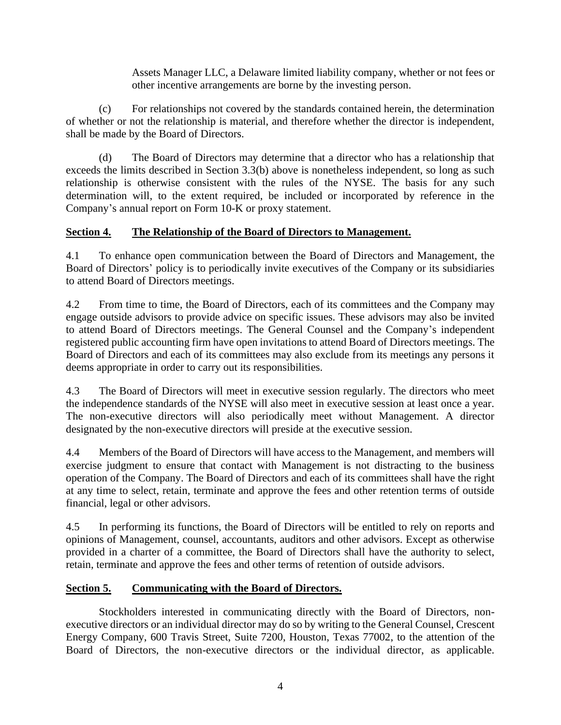Assets Manager LLC, a Delaware limited liability company, whether or not fees or other incentive arrangements are borne by the investing person.

(c) For relationships not covered by the standards contained herein, the determination of whether or not the relationship is material, and therefore whether the director is independent, shall be made by the Board of Directors.

(d) The Board of Directors may determine that a director who has a relationship that exceeds the limits described in Section 3.3(b) above is nonetheless independent, so long as such relationship is otherwise consistent with the rules of the NYSE. The basis for any such determination will, to the extent required, be included or incorporated by reference in the Company's annual report on Form 10-K or proxy statement.

## **Section 4. The Relationship of the Board of Directors to Management.**

4.1 To enhance open communication between the Board of Directors and Management, the Board of Directors' policy is to periodically invite executives of the Company or its subsidiaries to attend Board of Directors meetings.

4.2 From time to time, the Board of Directors, each of its committees and the Company may engage outside advisors to provide advice on specific issues. These advisors may also be invited to attend Board of Directors meetings. The General Counsel and the Company's independent registered public accounting firm have open invitations to attend Board of Directors meetings. The Board of Directors and each of its committees may also exclude from its meetings any persons it deems appropriate in order to carry out its responsibilities.

4.3 The Board of Directors will meet in executive session regularly. The directors who meet the independence standards of the NYSE will also meet in executive session at least once a year. The non-executive directors will also periodically meet without Management. A director designated by the non-executive directors will preside at the executive session.

4.4 Members of the Board of Directors will have access to the Management, and members will exercise judgment to ensure that contact with Management is not distracting to the business operation of the Company. The Board of Directors and each of its committees shall have the right at any time to select, retain, terminate and approve the fees and other retention terms of outside financial, legal or other advisors.

4.5 In performing its functions, the Board of Directors will be entitled to rely on reports and opinions of Management, counsel, accountants, auditors and other advisors. Except as otherwise provided in a charter of a committee, the Board of Directors shall have the authority to select, retain, terminate and approve the fees and other terms of retention of outside advisors.

# **Section 5. Communicating with the Board of Directors.**

Stockholders interested in communicating directly with the Board of Directors, nonexecutive directors or an individual director may do so by writing to the General Counsel, Crescent Energy Company, 600 Travis Street, Suite 7200, Houston, Texas 77002, to the attention of the Board of Directors, the non-executive directors or the individual director, as applicable.